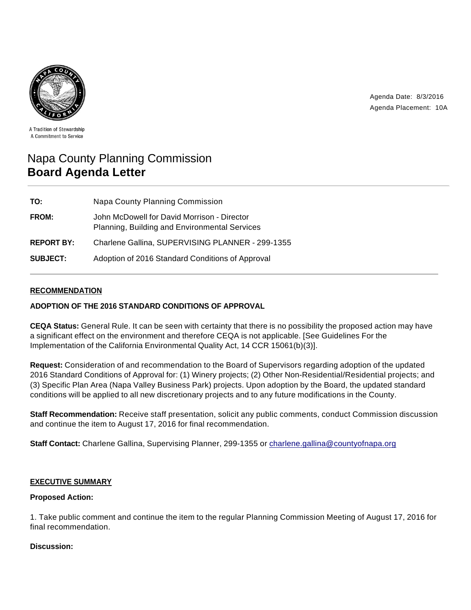

Agenda Date: 8/3/2016 Agenda Placement: 10A

A Tradition of Stewardship A Commitment to Service

# Napa County Planning Commission **Board Agenda Letter**

| TO:               | Napa County Planning Commission                                                              |
|-------------------|----------------------------------------------------------------------------------------------|
| <b>FROM:</b>      | John McDowell for David Morrison - Director<br>Planning, Building and Environmental Services |
| <b>REPORT BY:</b> | Charlene Gallina, SUPERVISING PLANNER - 299-1355                                             |
| <b>SUBJECT:</b>   | Adoption of 2016 Standard Conditions of Approval                                             |

# **RECOMMENDATION**

## **ADOPTION OF THE 2016 STANDARD CONDITIONS OF APPROVAL**

**CEQA Status:** General Rule. It can be seen with certainty that there is no possibility the proposed action may have a significant effect on the environment and therefore CEQA is not applicable. [See Guidelines For the Implementation of the California Environmental Quality Act, 14 CCR 15061(b)(3)].

**Request:** Consideration of and recommendation to the Board of Supervisors regarding adoption of the updated 2016 Standard Conditions of Approval for: (1) Winery projects; (2) Other Non-Residential/Residential projects; and (3) Specific Plan Area (Napa Valley Business Park) projects. Upon adoption by the Board, the updated standard conditions will be applied to all new discretionary projects and to any future modifications in the County.

**Staff Recommendation:** Receive staff presentation, solicit any public comments, conduct Commission discussion and continue the item to August 17, 2016 for final recommendation.

**Staff Contact:** Charlene Gallina, Supervising Planner, 299-1355 or charlene.gallina@countyofnapa.org

#### **EXECUTIVE SUMMARY**

## **Proposed Action:**

1. Take public comment and continue the item to the regular Planning Commission Meeting of August 17, 2016 for final recommendation.

## **Discussion:**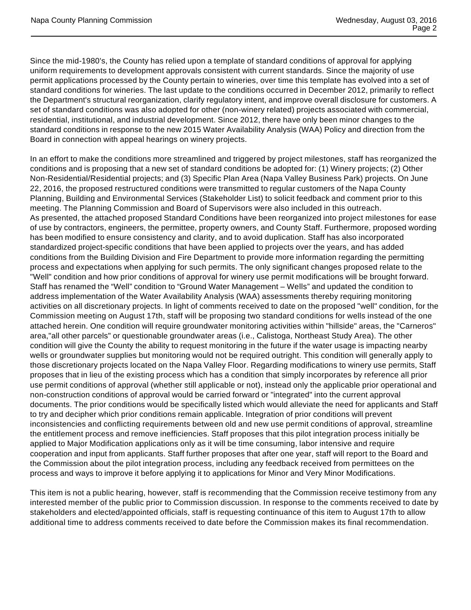Since the mid-1980's, the County has relied upon a template of standard conditions of approval for applying uniform requirements to development approvals consistent with current standards. Since the majority of use permit applications processed by the County pertain to wineries, over time this template has evolved into a set of standard conditions for wineries. The last update to the conditions occurred in December 2012, primarily to reflect the Department's structural reorganization, clarify regulatory intent, and improve overall disclosure for customers. A set of standard conditions was also adopted for other (non-winery related) projects associated with commercial, residential, institutional, and industrial development. Since 2012, there have only been minor changes to the standard conditions in response to the new 2015 Water Availability Analysis (WAA) Policy and direction from the Board in connection with appeal hearings on winery projects.

In an effort to make the conditions more streamlined and triggered by project milestones, staff has reorganized the conditions and is proposing that a new set of standard conditions be adopted for: (1) Winery projects; (2) Other Non-Residential/Residential projects; and (3) Specific Plan Area (Napa Valley Business Park) projects. On June 22, 2016, the proposed restructured conditions were transmitted to regular customers of the Napa County Planning, Building and Environmental Services (Stakeholder List) to solicit feedback and comment prior to this meeting. The Planning Commission and Board of Supervisors were also included in this outreach. As presented, the attached proposed Standard Conditions have been reorganized into project milestones for ease of use by contractors, engineers, the permittee, property owners, and County Staff. Furthermore, proposed wording has been modified to ensure consistency and clarity, and to avoid duplication. Staff has also incorporated standardized project-specific conditions that have been applied to projects over the years, and has added conditions from the Building Division and Fire Department to provide more information regarding the permitting process and expectations when applying for such permits. The only significant changes proposed relate to the "Well" condition and how prior conditions of approval for winery use permit modifications will be brought forward. Staff has renamed the "Well" condition to "Ground Water Management – Wells" and updated the condition to address implementation of the Water Availability Analysis (WAA) assessments thereby requiring monitoring activities on all discretionary projects. In light of comments received to date on the proposed "well" condition, for the Commission meeting on August 17th, staff will be proposing two standard conditions for wells instead of the one attached herein. One condition will require groundwater monitoring activities within "hillside" areas, the "Carneros" area,"all other parcels" or questionable groundwater areas (i.e., Calistoga, Northeast Study Area). The other condition will give the County the ability to request monitoring in the future if the water usage is impacting nearby wells or groundwater supplies but monitoring would not be required outright. This condition will generally apply to those discretionary projects located on the Napa Valley Floor. Regarding modifications to winery use permits, Staff proposes that in lieu of the existing process which has a condition that simply incorporates by reference all prior use permit conditions of approval (whether still applicable or not), instead only the applicable prior operational and non-construction conditions of approval would be carried forward or "integrated" into the current approval documents. The prior conditions would be specifically listed which would alleviate the need for applicants and Staff to try and decipher which prior conditions remain applicable. Integration of prior conditions will prevent inconsistencies and conflicting requirements between old and new use permit conditions of approval, streamline the entitlement process and remove inefficiencies. Staff proposes that this pilot integration process initially be applied to Major Modification applications only as it will be time consuming, labor intensive and require cooperation and input from applicants. Staff further proposes that after one year, staff will report to the Board and the Commission about the pilot integration process, including any feedback received from permittees on the process and ways to improve it before applying it to applications for Minor and Very Minor Modifications.

This item is not a public hearing, however, staff is recommending that the Commission receive testimony from any interested member of the public prior to Commission discussion. In response to the comments received to date by stakeholders and elected/appointed officials, staff is requesting continuance of this item to August 17th to allow additional time to address comments received to date before the Commission makes its final recommendation.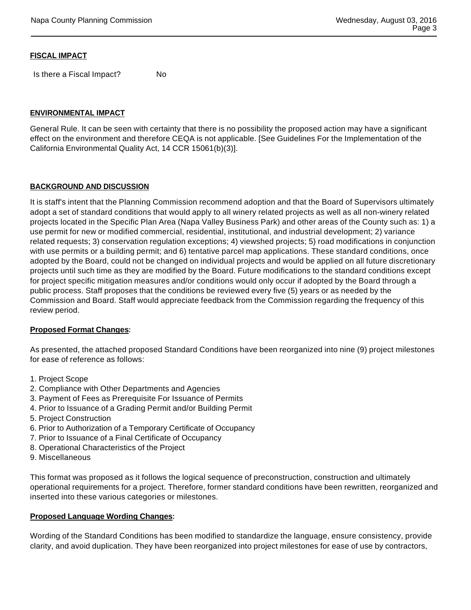### **FISCAL IMPACT**

Is there a Fiscal Impact? No

#### **ENVIRONMENTAL IMPACT**

General Rule. It can be seen with certainty that there is no possibility the proposed action may have a significant effect on the environment and therefore CEQA is not applicable. [See Guidelines For the Implementation of the California Environmental Quality Act, 14 CCR 15061(b)(3)].

#### **BACKGROUND AND DISCUSSION**

It is staff's intent that the Planning Commission recommend adoption and that the Board of Supervisors ultimately adopt a set of standard conditions that would apply to all winery related projects as well as all non-winery related projects located in the Specific Plan Area (Napa Valley Business Park) and other areas of the County such as: 1) a use permit for new or modified commercial, residential, institutional, and industrial development; 2) variance related requests; 3) conservation regulation exceptions; 4) viewshed projects; 5) road modifications in conjunction with use permits or a building permit; and 6) tentative parcel map applications. These standard conditions, once adopted by the Board, could not be changed on individual projects and would be applied on all future discretionary projects until such time as they are modified by the Board. Future modifications to the standard conditions except for project specific mitigation measures and/or conditions would only occur if adopted by the Board through a public process. Staff proposes that the conditions be reviewed every five (5) years or as needed by the Commission and Board. Staff would appreciate feedback from the Commission regarding the frequency of this review period.

#### **Proposed Format Changes:**

As presented, the attached proposed Standard Conditions have been reorganized into nine (9) project milestones for ease of reference as follows:

- 1. Project Scope
- 2. Compliance with Other Departments and Agencies
- 3. Payment of Fees as Prerequisite For Issuance of Permits
- 4. Prior to Issuance of a Grading Permit and/or Building Permit
- 5. Project Construction
- 6. Prior to Authorization of a Temporary Certificate of Occupancy
- 7. Prior to Issuance of a Final Certificate of Occupancy
- 8. Operational Characteristics of the Project
- 9. Miscellaneous

This format was proposed as it follows the logical sequence of preconstruction, construction and ultimately operational requirements for a project. Therefore, former standard conditions have been rewritten, reorganized and inserted into these various categories or milestones.

#### **Proposed Language Wording Changes:**

Wording of the Standard Conditions has been modified to standardize the language, ensure consistency, provide clarity, and avoid duplication. They have been reorganized into project milestones for ease of use by contractors,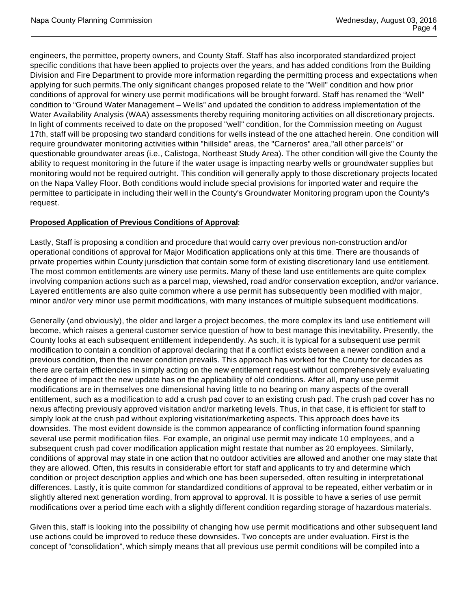engineers, the permittee, property owners, and County Staff. Staff has also incorporated standardized project specific conditions that have been applied to projects over the years, and has added conditions from the Building Division and Fire Department to provide more information regarding the permitting process and expectations when applying for such permits.The only significant changes proposed relate to the "Well" condition and how prior conditions of approval for winery use permit modifications will be brought forward. Staff has renamed the "Well" condition to "Ground Water Management – Wells" and updated the condition to address implementation of the Water Availability Analysis (WAA) assessments thereby requiring monitoring activities on all discretionary projects. In light of comments received to date on the proposed "well" condition, for the Commission meeting on August 17th, staff will be proposing two standard conditions for wells instead of the one attached herein. One condition will require groundwater monitoring activities within "hillside" areas, the "Carneros" area,"all other parcels" or questionable groundwater areas (i.e., Calistoga, Northeast Study Area). The other condition will give the County the ability to request monitoring in the future if the water usage is impacting nearby wells or groundwater supplies but monitoring would not be required outright. This condition will generally apply to those discretionary projects located on the Napa Valley Floor. Both conditions would include special provisions for imported water and require the permittee to participate in including their well in the County's Groundwater Monitoring program upon the County's request.

# **Proposed Application of Previous Conditions of Approval:**

Lastly, Staff is proposing a condition and procedure that would carry over previous non-construction and/or operational conditions of approval for Major Modification applications only at this time. There are thousands of private properties within County jurisdiction that contain some form of existing discretionary land use entitlement. The most common entitlements are winery use permits. Many of these land use entitlements are quite complex involving companion actions such as a parcel map, viewshed, road and/or conservation exception, and/or variance. Layered entitlements are also quite common where a use permit has subsequently been modified with major, minor and/or very minor use permit modifications, with many instances of multiple subsequent modifications.

Generally (and obviously), the older and larger a project becomes, the more complex its land use entitlement will become, which raises a general customer service question of how to best manage this inevitability. Presently, the County looks at each subsequent entitlement independently. As such, it is typical for a subsequent use permit modification to contain a condition of approval declaring that if a conflict exists between a newer condition and a previous condition, then the newer condition prevails. This approach has worked for the County for decades as there are certain efficiencies in simply acting on the new entitlement request without comprehensively evaluating the degree of impact the new update has on the applicability of old conditions. After all, many use permit modifications are in themselves one dimensional having little to no bearing on many aspects of the overall entitlement, such as a modification to add a crush pad cover to an existing crush pad. The crush pad cover has no nexus affecting previously approved visitation and/or marketing levels. Thus, in that case, it is efficient for staff to simply look at the crush pad without exploring visitation/marketing aspects. This approach does have its downsides. The most evident downside is the common appearance of conflicting information found spanning several use permit modification files. For example, an original use permit may indicate 10 employees, and a subsequent crush pad cover modification application might restate that number as 20 employees. Similarly, conditions of approval may state in one action that no outdoor activities are allowed and another one may state that they are allowed. Often, this results in considerable effort for staff and applicants to try and determine which condition or project description applies and which one has been superseded, often resulting in interpretational differences. Lastly, it is quite common for standardized conditions of approval to be repeated, either verbatim or in slightly altered next generation wording, from approval to approval. It is possible to have a series of use permit modifications over a period time each with a slightly different condition regarding storage of hazardous materials.

Given this, staff is looking into the possibility of changing how use permit modifications and other subsequent land use actions could be improved to reduce these downsides. Two concepts are under evaluation. First is the concept of "consolidation", which simply means that all previous use permit conditions will be compiled into a